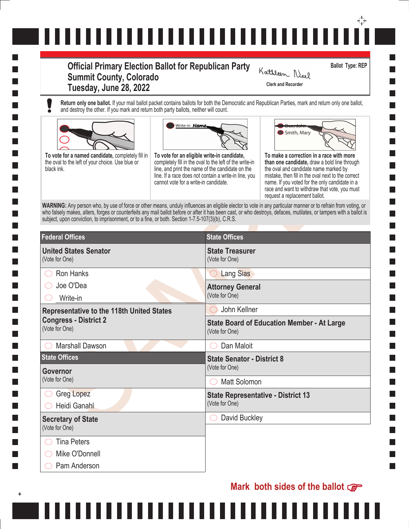# ↔ ,,,,,,,,,,,,,,,,,,,,,,,,,,,,,

# **Official Primary Election Ballot for Republican Party Summit County, Colorado Tuesday, June 28, 2022 Clerk and Recorder**

**Ballot Type: REP**

**Return only one ballot.** If your mail ballot packet contains ballots for both the Democratic and Republican Parties, mark and return only one ballot, and destroy the other. If you mark and return both party ballots, neither will count.





,,,,,,,,



Kathleen Neel

| Write-in Name,<br>To vote for an eligible write-in candidate,<br>completely fill in the oval to the left of the write-in<br>line, and print the name of the candidate on the<br>line. If a race does not contain a write-in line, you<br>cannot vote for a write-in candidate. | Smith, Mary<br>To make a correction in a race with more<br>than one candidate, draw a bold line through<br>the oval and candidate name marked by<br>mistake, then fill in the oval next to the correct<br>name. If you voted for the only candidate in a<br>race and want to withdraw that vote, you must<br>request a replacement ballot. |  |
|--------------------------------------------------------------------------------------------------------------------------------------------------------------------------------------------------------------------------------------------------------------------------------|--------------------------------------------------------------------------------------------------------------------------------------------------------------------------------------------------------------------------------------------------------------------------------------------------------------------------------------------|--|
| subject, upon conviction, to imprisonment, or to a fine, or both. Section 1-7.5-107(3)(b), C.R.S.                                                                                                                                                                              | WARNING: Any person who, by use of force or other means, unduly influences an eligible elector to vote in any particular manner or to refrain from voting, or<br>who falsely makes, alters, forges or counterfeits any mail ballot before or after it has been cast, or who destroys, defaces, mutilates, or tampers with a ballot is      |  |
|                                                                                                                                                                                                                                                                                |                                                                                                                                                                                                                                                                                                                                            |  |
| <b>State Treasurer</b><br>(Vote for One)                                                                                                                                                                                                                                       |                                                                                                                                                                                                                                                                                                                                            |  |
| <b>Lang Sias</b><br>$\hspace{0.15cm} \rightarrow$                                                                                                                                                                                                                              |                                                                                                                                                                                                                                                                                                                                            |  |
| <b>Attorney General</b>                                                                                                                                                                                                                                                        |                                                                                                                                                                                                                                                                                                                                            |  |
| (Vote for One)                                                                                                                                                                                                                                                                 |                                                                                                                                                                                                                                                                                                                                            |  |
| John Kellner                                                                                                                                                                                                                                                                   |                                                                                                                                                                                                                                                                                                                                            |  |
| (Vote for One)                                                                                                                                                                                                                                                                 | <b>State Board of Education Member - At Large</b>                                                                                                                                                                                                                                                                                          |  |
| Dan Maloit                                                                                                                                                                                                                                                                     |                                                                                                                                                                                                                                                                                                                                            |  |
| <b>State Senator - District 8</b>                                                                                                                                                                                                                                              |                                                                                                                                                                                                                                                                                                                                            |  |
| (Vote for One)                                                                                                                                                                                                                                                                 |                                                                                                                                                                                                                                                                                                                                            |  |
| <b>Matt Solomon</b>                                                                                                                                                                                                                                                            |                                                                                                                                                                                                                                                                                                                                            |  |
|                                                                                                                                                                                                                                                                                | <b>State Representative - District 13</b>                                                                                                                                                                                                                                                                                                  |  |
| (Vote for One)                                                                                                                                                                                                                                                                 |                                                                                                                                                                                                                                                                                                                                            |  |
| David Buckley                                                                                                                                                                                                                                                                  |                                                                                                                                                                                                                                                                                                                                            |  |
|                                                                                                                                                                                                                                                                                |                                                                                                                                                                                                                                                                                                                                            |  |
|                                                                                                                                                                                                                                                                                |                                                                                                                                                                                                                                                                                                                                            |  |
|                                                                                                                                                                                                                                                                                |                                                                                                                                                                                                                                                                                                                                            |  |
|                                                                                                                                                                                                                                                                                | <b>State Offices</b>                                                                                                                                                                                                                                                                                                                       |  |

. . . . . .

**Mark both sides of the ballot**

I.